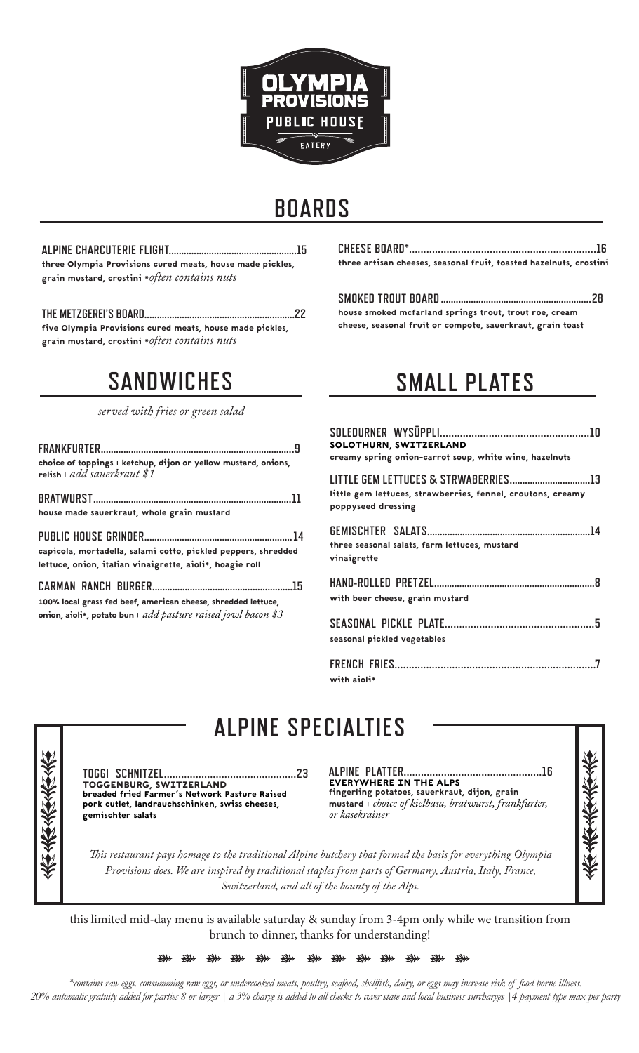

# **BOARDS**

**ALPINE CHARCUTERIE FLIGHT...................................................15** three Olympia Provisions cured meats, house made pickles, grain mustard, crostini \**often contains nuts*

**THE METZGEREI'S BOARD............................................................22** five Olympia Provisions cured meats, house made pickles, grain mustard, crostini \**often contains nuts*

# **SANDWICHES**

*served with fries or green salad*

| choice of toppings I ketchup, dijon or yellow mustard, onions,<br>relish add sauerkraut \$1                                          |  |
|--------------------------------------------------------------------------------------------------------------------------------------|--|
| house made sauerkraut, whole grain mustard                                                                                           |  |
| capicola, mortadella, salami cotto, pickled peppers, shredded<br>lettuce, onion, italian vinaigrette, aioli*, hoagie roll            |  |
| 100% local grass fed beef, american cheese, shredded lettuce,<br>onion, aioli*, potato bun $\vert$ add pasture raised jowl bacon \$3 |  |

**CHEESE BOARD\*.................................................................16** three artisan cheeses, seasonal fruit, toasted hazelnuts, crostini

#### **SMOKED TROUT BOARD ............................................................28** house smoked mcfarland springs trout, trout roe, cream

cheese, seasonal fruit or compote, sauerkraut, grain toast

# **SMALL PLATES**

| SOLOTHURN, SWITZERLAND<br>creamy spring onion-carrot soup, white wine, hazelnuts  |
|-----------------------------------------------------------------------------------|
| little gem lettuces, strawberries, fennel, croutons, creamy<br>poppyseed dressing |
| three seasonal salats, farm lettuces, mustard<br>vinaigrette                      |
| with beer cheese, grain mustard                                                   |
| seasonal pickled vegetables                                                       |
| with aioli*                                                                       |

**ALPINE SPECIALTIES**

**TOGGI SCHNITZEL..............................................23** TOGGENBURG, SWITZERLAND breaded fried Farmer's Network Pasture Raised pork cutlet, landrauchschinken, swiss cheeses, gemischter salats

**ALPINE PLATTER................................................16** EVERYWHERE IN THE ALPS fingerling potatoes, sauerkraut, dijon, grain mustard | *choice of kielbasa, bratwurst, frankfurter, or kasekrainer*



*This restaurant pays homage to the traditional Alpine butchery that formed the basis for everything Olympia Provisions does. We are inspired by traditional staples from parts of Germany, Austria, Italy, France, Switzerland, and all of the bounty of the Alps.*

this limited mid-day menu is available saturday & sunday from 3-4pm only while we transition from brunch to dinner, thanks for understanding!

> #<br>第 #<br># # ₩ ₩ ₩ ₩ ₩ ₩  $\overrightarrow{a}$  $\overrightarrow{a}$ ₩

*\*contains raw eggs. consumming raw eggs, or undercooked meats, poultry, seafood, shellfish, dairy, or eggs may increase risk of food borne illness. 20% automatic gratuity added for parties 8 or larger | a 3% charge is added to all checks to cover state and local business surcharges |4 payment type max per party*